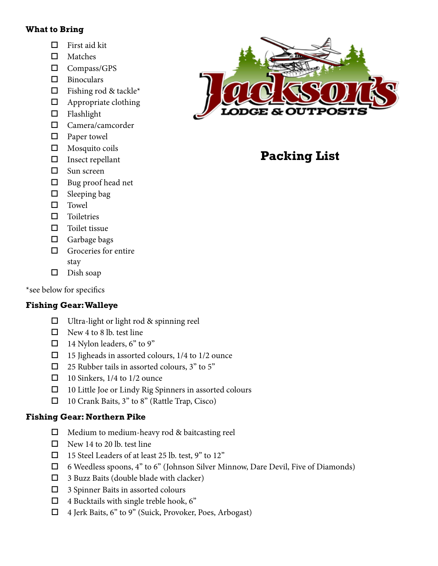#### **What to Bring**

- $\Box$  First aid kit
- $\Box$  Matches
- $\Box$  Compass/GPS
- $\square$  Binoculars
- $\Box$  Fishing rod & tackle\*
- $\Box$  Appropriate clothing
- $\square$  Flashlight
- $\square$  Camera/camcorder
- $\Box$  Paper towel
- $\square$  Mosquito coils
- $\square$  Insect repellant
- $\Box$  Sun screen
- $\Box$  Bug proof head net
- $\square$  Sleeping bag
- $\square$  Towel
- $\square$  Toiletries
- $\Box$  Toilet tissue
- $\Box$  Garbage bags
- $\Box$  Groceries for entire stay
- $\square$  Dish soap

\*see below for specifics

# **Fishing Gear: Walleye**

- $\Box$  Ultra-light or light rod & spinning reel
- $\Box$  New 4 to 8 lb. test line
- $\Box$  14 Nylon leaders, 6" to 9"
- $\Box$  15 Jigheads in assorted colours, 1/4 to 1/2 ounce
- $\Box$  25 Rubber tails in assorted colours, 3" to 5"
- $\Box$  10 Sinkers, 1/4 to 1/2 ounce
- $\Box$  10 Little Joe or Lindy Rig Spinners in assorted colours
- $\Box$  10 Crank Baits, 3" to 8" (Rattle Trap, Cisco)

# **Fishing Gear: Northern Pike**

- $\Box$  Medium to medium-heavy rod & baitcasting reel
- $\Box$  New 14 to 20 lb. test line
- $\Box$  15 Steel Leaders of at least 25 lb. test, 9" to 12"
- $\Box$  6 Weedless spoons, 4" to 6" (Johnson Silver Minnow, Dare Devil, Five of Diamonds)
- $\Box$  3 Buzz Baits (double blade with clacker)
- $\Box$  3 Spinner Baits in assorted colours
- $\Box$  4 Bucktails with single treble hook, 6"
- $\Box$  4 Jerk Baits, 6" to 9" (Suick, Provoker, Poes, Arbogast)



# **Packing List**